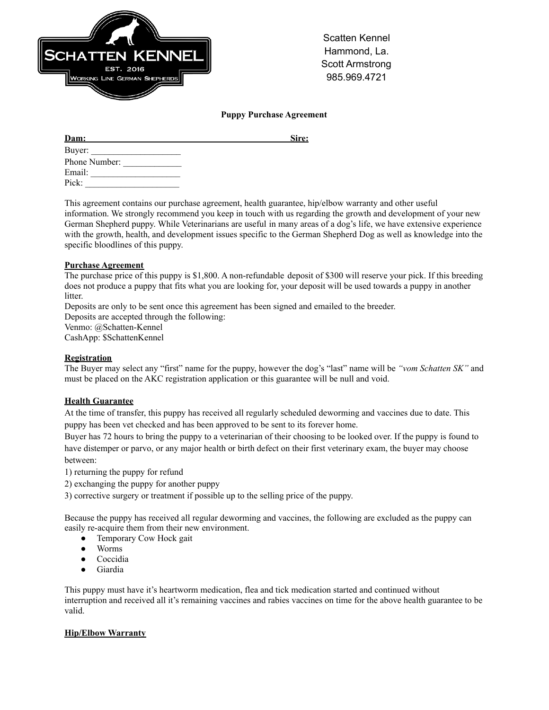

Scatten Kennel Hammond, La. Scott Armstrong 985.969.4721

### **Puppy Purchase Agreement**

| Dam:          | Sire: |
|---------------|-------|
| Buyer:        |       |
| Phone Number: |       |
| Email:        |       |
| Pick:         |       |

This agreement contains our purchase agreement, health guarantee, hip/elbow warranty and other useful information. We strongly recommend you keep in touch with us regarding the growth and development of your new German Shepherd puppy. While Veterinarians are useful in many areas of a dog's life, we have extensive experience with the growth, health, and development issues specific to the German Shepherd Dog as well as knowledge into the specific bloodlines of this puppy.

#### **Purchase Agreement**

The purchase price of this puppy is \$1,800. A non-refundable deposit of \$300 will reserve your pick. If this breeding does not produce a puppy that fits what you are looking for, your deposit will be used towards a puppy in another litter.

Deposits are only to be sent once this agreement has been signed and emailed to the breeder.

Deposits are accepted through the following:

Venmo: @Schatten-Kennel CashApp: \$SchattenKennel

# **Registration**

The Buyer may select any "first" name for the puppy, however the dog's "last" name will be *"vom Schatten SK"* and must be placed on the AKC registration application or this guarantee will be null and void.

# **Health Guarantee**

At the time of transfer, this puppy has received all regularly scheduled deworming and vaccines due to date. This puppy has been vet checked and has been approved to be sent to its forever home.

Buyer has 72 hours to bring the puppy to a veterinarian of their choosing to be looked over. If the puppy is found to have distemper or parvo, or any major health or birth defect on their first veterinary exam, the buyer may choose between:

1) returning the puppy for refund

2) exchanging the puppy for another puppy

3) corrective surgery or treatment if possible up to the selling price of the puppy.

Because the puppy has received all regular deworming and vaccines, the following are excluded as the puppy can easily re-acquire them from their new environment.

- Temporary Cow Hock gait
- Worms
- Coccidia
- Giardia

This puppy must have it's heartworm medication, flea and tick medication started and continued without interruption and received all it's remaining vaccines and rabies vaccines on time for the above health guarantee to be valid.

# **Hip/Elbow Warranty**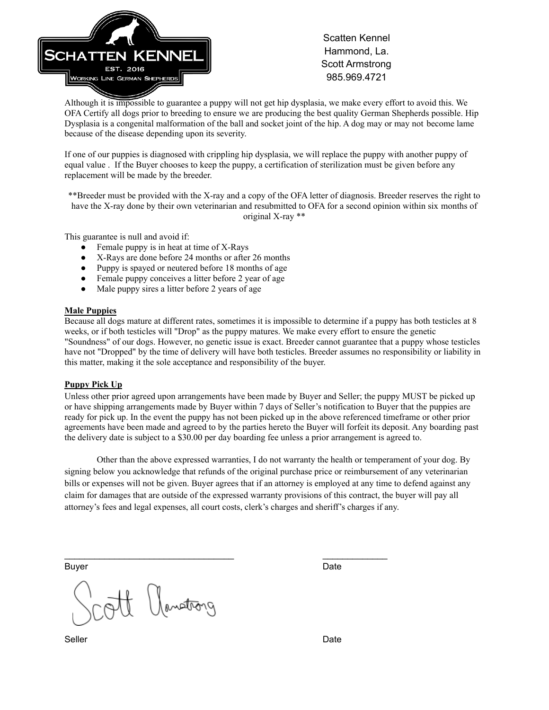

Scatten Kennel Hammond, La. Scott Armstrong 985.969.4721

Although it is impossible to guarantee a puppy will not get hip dysplasia, we make every effort to avoid this. We OFA Certify all dogs prior to breeding to ensure we are producing the best quality German Shepherds possible. Hip Dysplasia is a congenital malformation of the ball and socket joint of the hip. A dog may or may not become lame because of the disease depending upon its severity.

If one of our puppies is diagnosed with crippling hip dysplasia, we will replace the puppy with another puppy of equal value . If the Buyer chooses to keep the puppy, a certification of sterilization must be given before any replacement will be made by the breeder.

\*\*Breeder must be provided with the X-ray and a copy of the OFA letter of diagnosis. Breeder reserves the right to have the X-ray done by their own veterinarian and resubmitted to OFA for a second opinion within six months of original X-ray \*\*

This guarantee is null and avoid if:

- Female puppy is in heat at time of X-Rays
- X-Rays are done before 24 months or after 26 months
- Puppy is spayed or neutered before 18 months of age
- Female puppy conceives a litter before 2 year of age
- Male puppy sires a litter before 2 years of age

#### **Male Puppies**

Because all dogs mature at different rates, sometimes it is impossible to determine if a puppy has both testicles at 8 weeks, or if both testicles will "Drop" as the puppy matures. We make every effort to ensure the genetic "Soundness" of our dogs. However, no genetic issue is exact. Breeder cannot guarantee that a puppy whose testicles have not "Dropped" by the time of delivery will have both testicles. Breeder assumes no responsibility or liability in this matter, making it the sole acceptance and responsibility of the buyer.

#### **Puppy Pick Up**

Unless other prior agreed upon arrangements have been made by Buyer and Seller; the puppy MUST be picked up or have shipping arrangements made by Buyer within 7 days of Seller's notification to Buyer that the puppies are ready for pick up. In the event the puppy has not been picked up in the above referenced timeframe or other prior agreements have been made and agreed to by the parties hereto the Buyer will forfeit its deposit. Any boarding past the delivery date is subject to a \$30.00 per day boarding fee unless a prior arrangement is agreed to.

Other than the above expressed warranties, I do not warranty the health or temperament of your dog. By signing below you acknowledge that refunds of the original purchase price or reimbursement of any veterinarian bills or expenses will not be given. Buyer agrees that if an attorney is employed at any time to defend against any claim for damages that are outside of the expressed warranty provisions of this contract, the buyer will pay all attorney's fees and legal expenses, all court costs, clerk's charges and sheriff's charges if any.

 $\mathcal{L}_\text{max}$  , and the set of the set of the set of the set of the set of the set of the set of the set of the set of the set of the set of the set of the set of the set of the set of the set of the set of the set of the

Buyer **Date** 

Umstrong

Seller **Date**